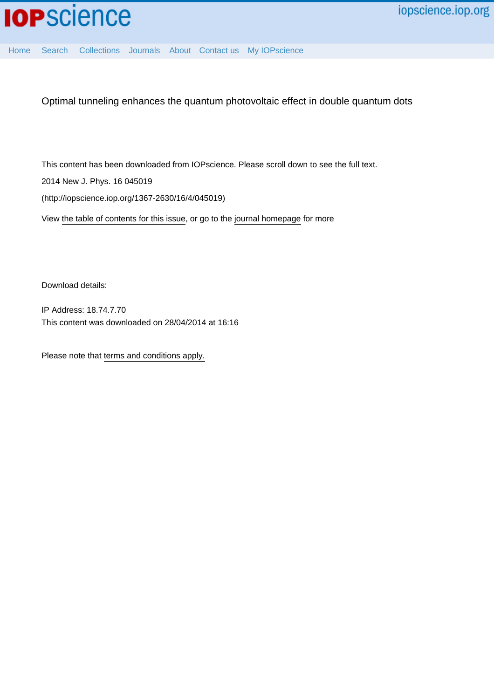

[Home](http://iopscience.iop.org/) [Search](http://iopscience.iop.org/search) [Collections](http://iopscience.iop.org/collections) [Journals](http://iopscience.iop.org/journals) [About](http://iopscience.iop.org/page/aboutioppublishing) [Contact us](http://iopscience.iop.org/contact) [My IOPscience](http://iopscience.iop.org/myiopscience)

Optimal tunneling enhances the quantum photovoltaic effect in double quantum dots

This content has been downloaded from IOPscience. Please scroll down to see the full text. 2014 New J. Phys. 16 045019

(http://iopscience.iop.org/1367-2630/16/4/045019)

View [the table of contents for this issue](http://iopscience.iop.org/1367-2630/16/4), or go to the [journal homepage](http://iopscience.iop.org/1367-2630) for more

Download details:

IP Address: 18.74.7.70 This content was downloaded on 28/04/2014 at 16:16

Please note that [terms and conditions apply.](iopscience.iop.org/page/terms)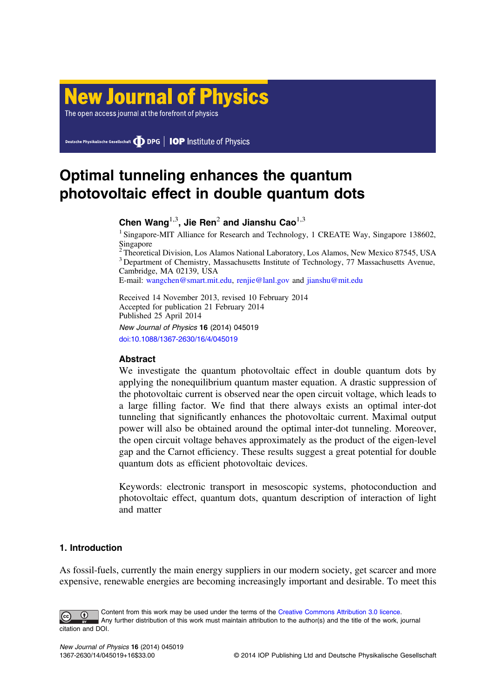# **New Journal of Physics**

The open access journal at the forefront of physics

Deutsche Physikalische Gesellschaft **DDPG** | IOP Institute of Physics

## Optimal tunneling enhances the quantum photovoltaic effect in double quantum dots

Chen Wang<sup>1,3</sup>, Jie Ren<sup>2</sup> and Jianshu Cao<sup>1,3</sup>

<sup>1</sup> Singapore-MIT Alliance for Research and Technology, 1 CREATE Way, Singapore 138602, Singapore

<sup>2</sup> Theoretical Division, Los Alamos National Laboratory, Los Alamos, New Mexico 87545, USA <sup>3</sup> Department of Chemistry, Massachusetts Institute of Technology, 77 Massachusetts Avenue, Cambridge, MA 02139, USA

E-mail: [wangchen@smart.mit.edu,](mailto:wangchen@smart.mit.edu) [renjie@lanl.gov](mailto:renjie@lanl.gov) and [jianshu@mit.edu](mailto:jianshu@mit.edu)

Received 14 November 2013, revised 10 February 2014 Accepted for publication 21 February 2014 Published 25 April 2014 New Journal of Physics 16 (2014) 045019 [doi:10.1088/1367-2630/16/4/045019](http://dx.doi.org/10.1088/1367-2630/16/4/045019)

## Abstract

We investigate the quantum photovoltaic effect in double quantum dots by applying the nonequilibrium quantum master equation. A drastic suppression of the photovoltaic current is observed near the open circuit voltage, which leads to a large filling factor. We find that there always exists an optimal inter-dot tunneling that significantly enhances the photovoltaic current. Maximal output power will also be obtained around the optimal inter-dot tunneling. Moreover, the open circuit voltage behaves approximately as the product of the eigen-level gap and the Carnot efficiency. These results suggest a great potential for double quantum dots as efficient photovoltaic devices.

Keywords: electronic transport in mesoscopic systems, photoconduction and photovoltaic effect, quantum dots, quantum description of interaction of light and matter

## 1. Introduction

As fossil-fuels, currently the main energy suppliers in our modern society, get scarcer and more expensive, renewable energies are becoming increasingly important and desirable. To meet this

Content from this work may be used under the terms of the [Creative Commons Attribution 3.0 licence](http://creativecommons.org/licenses/by/3.0).  $\bigcirc$ Any further distribution of this work must maintain attribution to the author(s) and the title of the work, journal citation and DOI.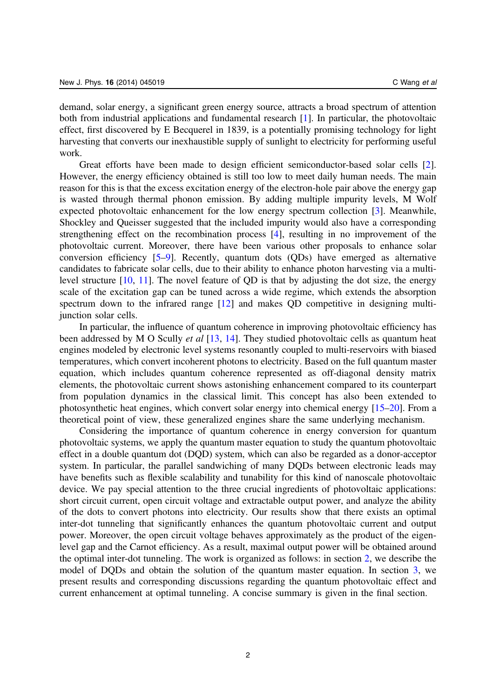demand, solar energy, a significant green energy source, attracts a broad spectrum of attention both from industrial applications and fundamental research [\[1](#page-15-0)]. In particular, the photovoltaic effect, first discovered by E Becquerel in 1839, is a potentially promising technology for light harvesting that converts our inexhaustible supply of sunlight to electricity for performing useful work.

Great efforts have been made to design efficient semiconductor-based solar cells [\[2](#page-15-0)]. However, the energy efficiency obtained is still too low to meet daily human needs. The main reason for this is that the excess excitation energy of the electron-hole pair above the energy gap is wasted through thermal phonon emission. By adding multiple impurity levels, M Wolf expected photovoltaic enhancement for the low energy spectrum collection [[3\]](#page-15-0). Meanwhile, Shockley and Queisser suggested that the included impurity would also have a corresponding strengthening effect on the recombination process [\[4](#page-15-0)], resulting in no improvement of the photovoltaic current. Moreover, there have been various other proposals to enhance solar conversion efficiency [[5](#page-15-0)–[9\]](#page-15-0). Recently, quantum dots (QDs) have emerged as alternative candidates to fabricate solar cells, due to their ability to enhance photon harvesting via a multilevel structure [[10,](#page-15-0) [11\]](#page-15-0). The novel feature of QD is that by adjusting the dot size, the energy scale of the excitation gap can be tuned across a wide regime, which extends the absorption spectrum down to the infrared range [\[12](#page-16-0)] and makes QD competitive in designing multijunction solar cells.

In particular, the influence of quantum coherence in improving photovoltaic efficiency has been addressed by M O Scully *et al* [[13,](#page-16-0) [14](#page-16-0)]. They studied photovoltaic cells as quantum heat engines modeled by electronic level systems resonantly coupled to multi-reservoirs with biased temperatures, which convert incoherent photons to electricity. Based on the full quantum master equation, which includes quantum coherence represented as off-diagonal density matrix elements, the photovoltaic current shows astonishing enhancement compared to its counterpart from population dynamics in the classical limit. This concept has also been extended to photosynthetic heat engines, which convert solar energy into chemical energy [[15](#page-16-0)–[20](#page-16-0)]. From a theoretical point of view, these generalized engines share the same underlying mechanism.

Considering the importance of quantum coherence in energy conversion for quantum photovoltaic systems, we apply the quantum master equation to study the quantum photovoltaic effect in a double quantum dot (DQD) system, which can also be regarded as a donor-acceptor system. In particular, the parallel sandwiching of many DQDs between electronic leads may have benefits such as flexible scalability and tunability for this kind of nanoscale photovoltaic device. We pay special attention to the three crucial ingredients of photovoltaic applications: short circuit current, open circuit voltage and extractable output power, and analyze the ability of the dots to convert photons into electricity. Our results show that there exists an optimal inter-dot tunneling that significantly enhances the quantum photovoltaic current and output power. Moreover, the open circuit voltage behaves approximately as the product of the eigenlevel gap and the Carnot efficiency. As a result, maximal output power will be obtained around the optimal inter-dot tunneling. The work is organized as follows: in section [2](#page-3-0), we describe the model of DQDs and obtain the solution of the quantum master equation. In section [3](#page-7-0), we present results and corresponding discussions regarding the quantum photovoltaic effect and current enhancement at optimal tunneling. A concise summary is given in the final section.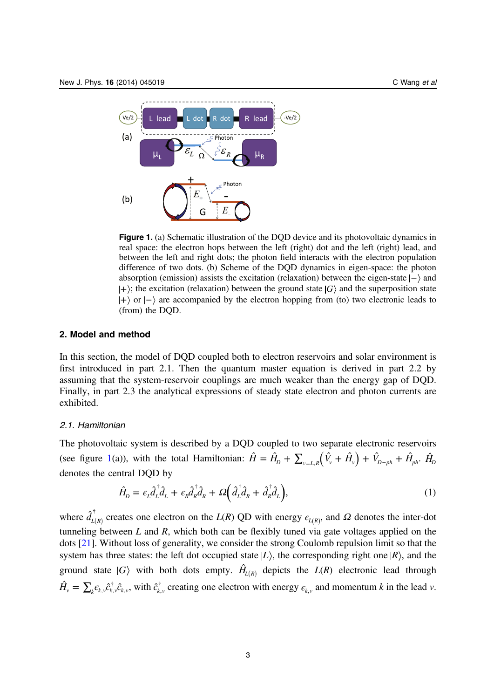<span id="page-3-0"></span>

Figure 1. (a) Schematic illustration of the DQD device and its photovoltaic dynamics in real space: the electron hops between the left (right) dot and the left (right) lead, and between the left and right dots; the photon field interacts with the electron population difference of two dots. (b) Scheme of the DQD dynamics in eigen-space: the photon absorption (emission) assists the excitation (relaxation) between the eigen-state  $|-\rangle$  and  $|+\rangle$ ; the excitation (relaxation) between the ground state  $|G\rangle$  and the superposition state  $|+\rangle$  or  $|-\rangle$  are accompanied by the electron hopping from (to) two electronic leads to (from) the DQD.

## 2. Model and method

In this section, the model of DQD coupled both to electron reservoirs and solar environment is first introduced in part 2.1. Then the quantum master equation is derived in part 2.2 by assuming that the system-reservoir couplings are much weaker than the energy gap of DQD. Finally, in part 2.3 the analytical expressions of steady state electron and photon currents are exhibited.

## 2.1. Hamiltonian

The photovoltaic system is described by a DQD coupled to two separate electronic reservoirs (see figure 1(a)), with the total Hamiltonian:  $\hat{H} = \hat{H}_D + \sum_{v=L,R} (\hat{V}_v + \hat{H}_v) + \hat{V}_{D-ph} + \hat{H}_{ph}$ .  $\hat{H}_D$ denotes the central DQD by

$$
\hat{H}_D = \epsilon_L \hat{d}_L^{\dagger} \hat{d}_L + \epsilon_R \hat{d}_R^{\dagger} \hat{d}_R + \Omega \left( \hat{d}_L^{\dagger} \hat{d}_R + \hat{d}_R^{\dagger} \hat{d}_L \right),\tag{1}
$$

where  $\hat{d}_{L(R)}^{\dagger}$  creates one electron on the  $L(R)$  QD with energy  $\epsilon_{L(R)}$ , and  $\Omega$  denotes the inter-dot tunneling between  $L$  and  $R$ , which both can be flexibly tuned via gate voltages applied on the dots [\[21](#page-16-0)]. Without loss of generality, we consider the strong Coulomb repulsion limit so that the system has three states: the left dot occupied state  $|L\rangle$ , the corresponding right one  $|R\rangle$ , and the ground state  $|G\rangle$  with both dots empty.  $\hat{H}_{L(R)}$  depicts the  $L(R)$  electronic lead through  $\hat{H}_v = \sum_k \epsilon_{k,v} \hat{c}_{k,v}^\dagger \hat{c}_{k,v}$ , with  $\hat{c}_{k,v}^\dagger$  creating one electron with energy  $\epsilon_{k,v}$  and momentum k in the lead v.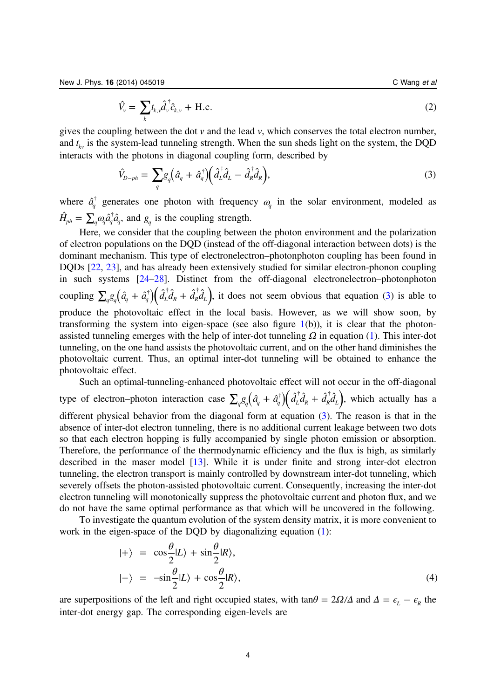$$
\hat{V}_v = \sum_k t_{k,v} \hat{d}_v^{\dagger} \hat{c}_{k,v} + \text{H.c.}
$$
\n(2)

<span id="page-4-0"></span>gives the coupling between the dot  $v$  and the lead  $v$ , which conserves the total electron number, and *t kv* is the system-lead tunneling strength. When the sun sheds light on the system, the DQD interacts with the photons in diagonal coupling form, described by

$$
\hat{V}_{D-ph} = \sum_{q} g_q \left( \hat{a}_q + \hat{a}_q^{\dagger} \right) \left( \hat{d}_L^{\dagger} \hat{d}_L - \hat{d}_R^{\dagger} \hat{d}_R \right),\tag{3}
$$

where  $\hat{a}_q^{\dagger}$  generates one photon with frequency  $\omega_q$  in the solar environment, modeled as  $\hat{H}_{ph} = \sum_{q} \omega_q \hat{a}_q^{\dagger} \hat{a}_q^{\dagger}$ , and  $g_q$  is the coupling strength.

Here, we consider that the coupling between the photon environment and the polarization of electron populations on the DQD (instead of the off-diagonal interaction between dots) is the dominant mechanism. This type of electronelectron–photonphoton coupling has been found in DQDs [[22](#page-16-0), [23\]](#page-16-0), and has already been extensively studied for similar electron-phonon coupling in such systems [\[24](#page-16-0)–[28\]](#page-16-0). Distinct from the off-diagonal electronelectron–photonphoton coupling  $\sum_{q}g_{q}(\hat{a}_{q}+\hat{a}_{q}^{\dagger})(\hat{d}_{L}^{\dagger}\hat{d}_{R}+\hat{d}_{R}^{\dagger}\hat{d}_{L})$ , it does not seem obvious that equation (3) is able to produce the photovoltaic effect in the local basis. However, as we will show soon, by transforming the system into eigen-space (see also figure  $1(b)$  $1(b)$ ), it is clear that the photonassisted tunneling emerges with the help of inter-dot tunneling *Ω* in equation [\(1](#page-3-0)). This inter-dot tunneling, on the one hand assists the photovoltaic current, and on the other hand diminishes the photovoltaic current. Thus, an optimal inter-dot tunneling will be obtained to enhance the photovoltaic effect.

Such an optimal-tunneling-enhanced photovoltaic effect will not occur in the off-diagonal type of electron–photon interaction case  $\sum_{q}g_{q}(\hat{a}_{q}+\hat{a}_{q}^{\dagger})(\hat{d}_{L}^{\dagger}\hat{d}_{R}+\hat{d}_{R}^{\dagger}\hat{d}_{L})$ , which actually has a different physical behavior from the diagonal form at equation (3). The reason is that in the absence of inter-dot electron tunneling, there is no additional current leakage between two dots so that each electron hopping is fully accompanied by single photon emission or absorption. Therefore, the performance of the thermodynamic efficiency and the flux is high, as similarly described in the maser model [[13\]](#page-16-0). While it is under finite and strong inter-dot electron tunneling, the electron transport is mainly controlled by downstream inter-dot tunneling, which severely offsets the photon-assisted photovoltaic current. Consequently, increasing the inter-dot electron tunneling will monotonically suppress the photovoltaic current and photon flux, and we do not have the same optimal performance as that which will be uncovered in the following.

To investigate the quantum evolution of the system density matrix, it is more convenient to work in the eigen-space of the DQD by diagonalizing equation ([1\)](#page-3-0):

$$
|+\rangle = \cos\frac{\theta}{2}|L\rangle + \sin\frac{\theta}{2}|R\rangle,
$$
  

$$
|-\rangle = -\sin\frac{\theta}{2}|L\rangle + \cos\frac{\theta}{2}|R\rangle,
$$
 (4)

are superpositions of the left and right occupied states, with tan $\theta = 2\Omega/\Delta$  and  $\Delta = \epsilon_L - \epsilon_R$  the inter-dot energy gap. The corresponding eigen-levels are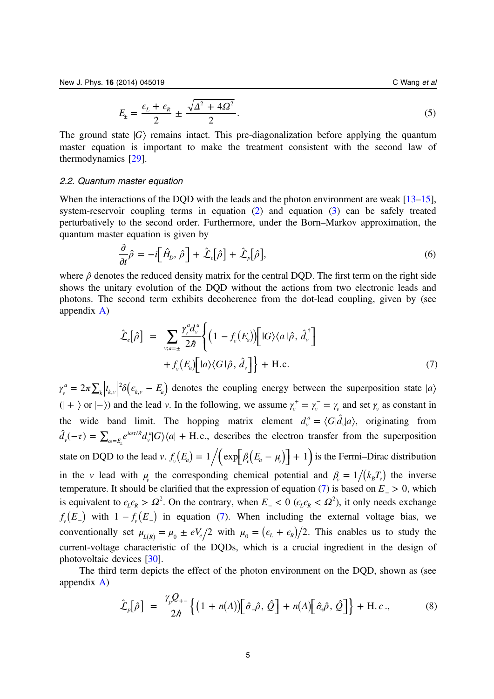$$
E_{\pm} = \frac{\epsilon_L + \epsilon_R}{2} \pm \frac{\sqrt{\Delta^2 + 4\Omega^2}}{2}.
$$
\n<sup>(5)</sup>

<span id="page-5-0"></span>The ground state  $|G\rangle$  remains intact. This pre-diagonalization before applying the quantum master equation is important to make the treatment consistent with the second law of thermodynamics [[29](#page-16-0)].

#### 2.2. Quantum master equation

When the interactions of the DOD with the leads and the photon environment are weak [[13](#page-16-0)–[15](#page-16-0)], system-reservoir coupling terms in equation [\(2](#page-3-0)) and equation [\(3](#page-4-0)) can be safely treated perturbatively to the second order. Furthermore, under the Born–Markov approximation, the quantum master equation is given by

$$
\frac{\partial}{\partial t}\hat{\rho} = -i\Big[\hat{H}_D, \hat{\rho}\Big] + \hat{\mathcal{L}}_e[\hat{\rho}] + \hat{\mathcal{L}}_p[\hat{\rho}], \tag{6}
$$

where  $\hat{\rho}$  denotes the reduced density matrix for the central DQD. The first term on the right side shows the unitary evolution of the DQD without the actions from two electronic leads and photons. The second term exhibits decoherence from the dot-lead coupling, given by (see appendix [A\)](#page-12-0)

$$
\hat{\mathcal{L}}_e[\hat{\rho}] = \sum_{v;a=\pm} \frac{\gamma_v^a d_v^a}{2\hbar} \Biggl\{ \left(1 - f_v(E_a) \right) \Biggl[ |G\rangle \langle a| \hat{\rho}, \hat{d}_v^{\dagger} \Biggr] + f_v(E_a) \Biggl[ |a\rangle \langle G| \hat{\rho}, \hat{d}_v \Biggr] \Biggr\} + \text{H.c.}
$$
\n(7)

 $\gamma_{v}^{a} = 2\pi\sum_{k}\left|t_{k,v}\right|^{2}\delta\left(\epsilon_{k,v}-E_{a}\right)$  $e^{2}\delta(\epsilon_{k,v}-E_{a})$  denotes the coupling energy between the superposition state |a  $(| + \rangle \text{ or } | - \rangle)$  and the lead *v*. In the following, we assume  $\gamma_v^+ = \gamma_v^- = \gamma_v$  and set  $\gamma_v$  as constant in the wide band limit. The hopping matrix element  $d_v^a = \langle G | \hat{d}_v | a \rangle$ , originating from  $\hat{d}_v(-\tau) = \sum_{\omega=E_{\tau}} e^{i\omega\tau/\hbar} d_v^{\alpha} |G\rangle\langle a| +$  $\hat{d}_{\nu}(-\tau) = \sum_{\omega = E_{\mu}} e^{i\omega\tau/\hbar} d_{\nu}^{a} |G\rangle\langle a| + \text{H.c.}$  $v_v^a|G\rangle\langle a| + \text{H.c.},$  describes the electron transfer from the superposition state on DQD to the lead v.  $f_v(E_a) = 1/(exp[\beta_v(E_a - \mu_v)] + 1)$  is the Fermi–Dirac distribution in the v lead with  $\mu$  the corresponding chemical potential and  $\beta = 1/(k_B T_v)$  the inverse temperature. It should be clarified that the expression of equation (7) is based on  $E_$  > 0, which is equivalent to  $\epsilon_L \epsilon_R > \Omega^2$ . On the contrary, when  $E_0 < 0$  ( $\epsilon_L \epsilon_R < \Omega^2$ ), it only needs exchange  $f_{v}(E_{-})$  with  $1 - f_{v}(E_{-})$  in equation (7). When including the external voltage bias, we conventionally set  $\mu_{L(R)} = \mu_0 \pm eV_e/2$  with  $\mu_0 = (\epsilon_L + \epsilon_R)/2$ . This enables us to study the current-voltage characteristic of the DQDs, which is a crucial ingredient in the design of photovoltaic devices [\[30](#page-16-0)].

The third term depicts the effect of the photon environment on the DQD, shown as (see appendix [A\)](#page-12-0)

$$
\hat{\mathcal{L}}_p[\hat{\rho}] = \frac{\gamma_p \mathcal{Q}_{+-}}{2\hbar} \Big\{ \big( 1 + n(\Lambda) \big) \Big[ \hat{\sigma}_-\hat{\rho}, \hat{\mathcal{Q}} \Big] + n(\Lambda) \Big[ \hat{\sigma}_+ \hat{\rho}, \hat{\mathcal{Q}} \Big] \Big\} + \text{H.c.,}
$$
(8)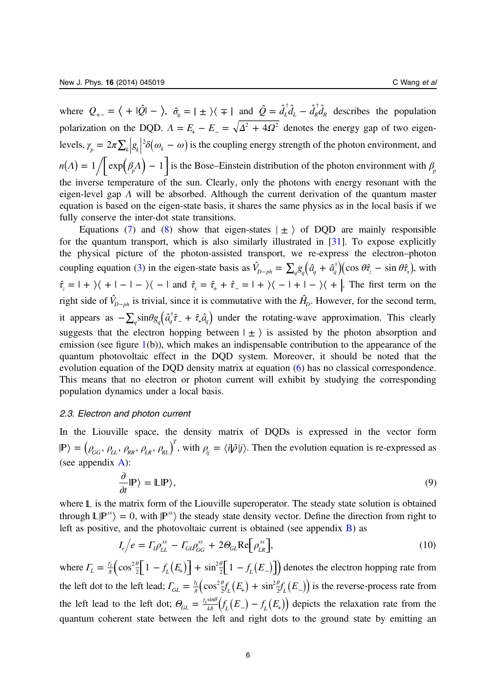<span id="page-6-0"></span>where  $Q_{+-} = \langle +|\hat{Q}| - \rangle$ ,  $\hat{\sigma}_{\pm} = |\pm\rangle\langle \mp|$  and  $\hat{Q} = \hat{d}_{L}^{\dagger}\hat{d}_{L} - \hat{d}_{R}^{\dagger}\hat{d}_{R}$  describes the population polarization on the DQD.  $\Lambda = E_+ - E_- = \sqrt{\Delta^2 + 4\Omega^2}$  denotes the energy gap of two eigenlevels,  $\gamma_p = 2\pi \sum_k |g_k|^2 \delta(\omega_k - \omega)$  is the coupling energy strength of the photon environment, and  $n(A) = 1/\left[\exp\left(\beta_p A\right) - 1\right]$  is the Bose–Einstein distribution of the photon environment with  $\beta_p$ the inverse temperature of the sun. Clearly, only the photons with energy resonant with the eigen-level gap *Λ* will be absorbed. Although the current derivation of the quantum master equation is based on the eigen-state basis, it shares the same physics as in the local basis if we fully conserve the inter-dot state transitions.

Equations ([7\)](#page-5-0) and [\(8](#page-5-0)) show that eigen-states  $\pm$  of DQD are mainly responsible for the quantum transport, which is also similarly illustrated in [[31\]](#page-16-0). To expose explicitly the physical picture of the photon-assisted transport, we re-express the electron–photon coupling equation [\(3](#page-4-0)) in the eigen-state basis as  $\hat{V}_{D-ph} = \sum_{q} g_q (\hat{a}_q + \hat{a}_q^{\dagger}) (\cos \theta \hat{\tau}_z - \sin \theta \hat{\tau}_x)$ , with  $\hat{\tau}_z = 1 + \sqrt{1 - 1 - \frac{1}{2}} - 1$  and  $\hat{\tau}_x = \hat{\tau}_+ + \hat{\tau}_- = 1 + \sqrt{1 - 1 + 1 - \frac{1}{2}} - 1$ . The first term on the right side of  $\hat{V}_{D-ph}$  is trivial, since it is commutative with the  $\hat{H}_D$ . However, for the second term, it appears as  $-\sum_{q} \sin \theta g_{q} (\hat{a}_{q}^{\dagger} \hat{\tau}_{-} + \hat{\tau}_{+} \hat{a}_{q})$  under the rotating-wave approximation. This clearly suggests that the electron hopping between  $|\pm\rangle$  is assisted by the photon absorption and emission (see figure  $1(b)$  $1(b)$ ), which makes an indispensable contribution to the appearance of the quantum photovoltaic effect in the DQD system. Moreover, it should be noted that the evolution equation of the DQD density matrix at equation [\(6](#page-5-0)) has no classical correspondence. This means that no electron or photon current will exhibit by studying the corresponding population dynamics under a local basis.

## 2.3. Electron and photon current

In the Liouville space, the density matrix of DQDs is expressed in the vector form  $\ket{\mathbb{P}} = ( \rho_{GG}, \rho_{LL}, \rho_{RR}, \rho_{LR}, \rho_{RL})^T$ , with  $\rho_{ij} = \langle i | \hat{\rho} | j \rangle$ . Then the evolution equation is re-expressed as (see appendix  $A$ ):

$$
\frac{\partial}{\partial t}|\mathbb{P}\rangle = \mathbb{L}|\mathbb{P}\rangle,\tag{9}
$$

where  $\mathbb L$  is the matrix form of the Liouville superoperator. The steady state solution is obtained through  $\mathbb{L}|\mathbb{P}^{ss}\rangle = 0$ , with  $|\mathbb{P}^{ss}\rangle$  the steady state density vector. Define the direction from right to left as positive, and the photovoltaic current is obtained (see appendix [B\)](#page-14-0) as

$$
I_e/e = \Gamma_l \rho_{LL}^{ss} - \Gamma_{GI} \rho_{GG}^{ss} + 2\Theta_{GL} \text{Re}\bigg[\rho_{LR}^{ss}\bigg],\tag{10}
$$

where  $\Gamma_L = \frac{\gamma_L}{\hbar} \left( \cos^2 \frac{\theta}{2} \left[ 1 - f_L(E_+) \right] + \sin^2 \frac{\theta}{2} \left[ 1 - f_L(E_-) \right] \right)$ 2  $\frac{L}{2}$   $\left[\cos^2 \frac{\theta}{2} [1 - f_L(E_+)]\right] + \sin^2 \frac{\theta}{2} [1 - f_L(E_-)]$  denotes the electron hopping rate from the left dot to the left lead;  $\Gamma_{GL} = \frac{\gamma_L}{\hbar} \left( \cos^2 \frac{\theta}{2} f_L(E_+) + \sin^2 \frac{\theta}{2} f_L(E_-) \right)$ 2  $\frac{L_L}{\hbar} \left( \cos^2 \frac{\theta}{2} f_L(E_+) + \sin^2 \frac{\theta}{2} f_L(E_-) \right)$  is the reverse-process rate from the left lead to the left dot;  $\Theta_{GL} = \frac{\gamma_L \sin \theta}{4\hbar} (f_L(E_-) - f_L(E_+))$  depicts the relaxation rate from the quantum coherent state between the left and right dots to the ground state by emitting an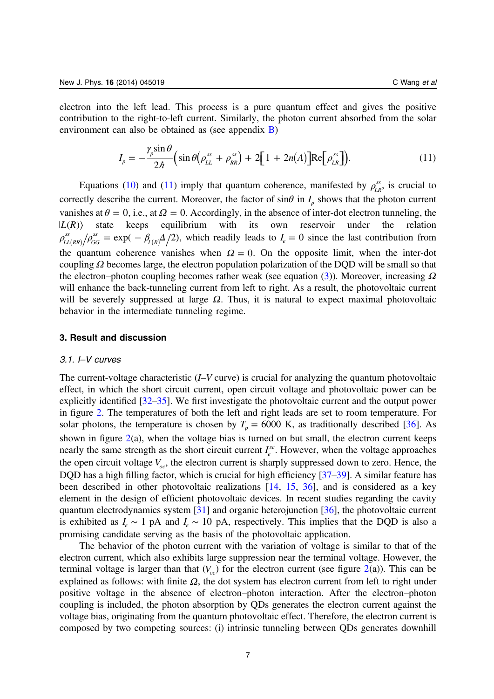<span id="page-7-0"></span>electron into the left lead. This process is a pure quantum effect and gives the positive contribution to the right-to-left current. Similarly, the photon current absorbed from the solar environment can also be obtained as (see appendix  $\overline{B}$  $\overline{B}$  $\overline{B}$ )

$$
I_p = -\frac{\gamma_p \sin \theta}{2\hbar} \Big( \sin \theta \Big( \rho_{LL}^{ss} + \rho_{RR}^{ss} \Big) + 2 \Big[ 1 + 2n(\Lambda) \Big] \text{Re} \Big[ \rho_{LR}^{ss} \Big] \Big). \tag{11}
$$

Equations [\(10](#page-6-0)) and (11) imply that quantum coherence, manifested by  $\rho_{LR}^{ss}$ , is crucial to correctly describe the current. Moreover, the factor of  $\sin\theta$  in  $I_p$  shows that the photon current vanishes at  $\theta = 0$ , i.e., at  $\Omega = 0$ . Accordingly, in the absence of inter-dot electron tunneling, the  $|L(R)\rangle$  state keeps equilibrium with its own reservoir under the relation  $\rho_{LL(RR)}^{ss}/\rho_{GG}^{ss} = \exp(-\beta_{L(R)}\Delta/2)$ *GG*  $L_{EG}^{ss} = \exp(-\beta_{L(R)}\Delta/2)$ , which readily leads to  $I_e = 0$  since the last contribution from the quantum coherence vanishes when  $\Omega = 0$ . On the opposite limit, when the inter-dot coupling *Ω* becomes large, the electron population polarization of the DQD will be small so that the electron–photon coupling becomes rather weak (see equation ([3\)](#page-4-0)). Moreover, increasing *Ω* will enhance the back-tunneling current from left to right. As a result, the photovoltaic current will be severely suppressed at large *Ω*. Thus, it is natural to expect maximal photovoltaic behavior in the intermediate tunneling regime.

### 3. Result and discussion

## 3.1. I–V curves

The current-voltage characteristic  $(I-V)$  curve) is crucial for analyzing the quantum photovoltaic effect, in which the short circuit current, open circuit voltage and photovoltaic power can be explicitly identified [[32](#page-16-0)–[35](#page-16-0)]. We first investigate the photovoltaic current and the output power in figure [2](#page-8-0). The temperatures of both the left and right leads are set to room temperature. For solar photons, the temperature is chosen by  $T_p = 6000$  K, as traditionally described [[36\]](#page-16-0). As shown in figure  $2(a)$  $2(a)$ , when the voltage bias is turned on but small, the electron current keeps nearly the same strength as the short circuit current  $I_e^{sc}$ . However, when the voltage approaches the open circuit voltage  $V_{oc}$ , the electron current is sharply suppressed down to zero. Hence, the DQD has a high filling factor, which is crucial for high efficiency [\[37](#page-16-0)–[39\]](#page-16-0). A similar feature has been described in other photovoltaic realizations [[14,](#page-16-0) [15](#page-16-0), [36](#page-16-0)], and is considered as a key element in the design of efficient photovoltaic devices. In recent studies regarding the cavity quantum electrodynamics system [\[31](#page-16-0)] and organic heterojunction [[36\]](#page-16-0), the photovoltaic current is exhibited as  $I_e \sim 1$  pA and  $I_e \sim 10$  pA, respectively. This implies that the DQD is also a promising candidate serving as the basis of the photovoltaic application.

The behavior of the photon current with the variation of voltage is similar to that of the electron current, which also exhibits large suppression near the terminal voltage. However, the terminal voltage is larger than that  $(V_{oc})$  for the electron current (see figure [2](#page-8-0)(a)). This can be explained as follows: with finite  $\Omega$ , the dot system has electron current from left to right under positive voltage in the absence of electron–photon interaction. After the electron–photon coupling is included, the photon absorption by QDs generates the electron current against the voltage bias, originating from the quantum photovoltaic effect. Therefore, the electron current is composed by two competing sources: (i) intrinsic tunneling between QDs generates downhill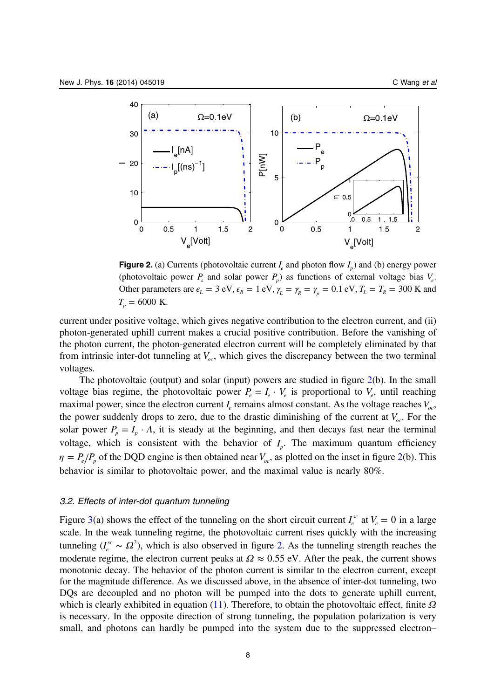<span id="page-8-0"></span>

**Figure 2.** (a) Currents (photovoltaic current  $I_e$  and photon flow  $I_p$ ) and (b) energy power (photovoltaic power  $P_s$  and solar power  $P_p$ ) as functions of external voltage bias  $V_e$ . Other parameters are  $\epsilon_L = 3$  eV,  $\epsilon_R = 1$  eV,  $\gamma_L = \gamma_R = \gamma_p = 0.1$  eV,  $T_L = T_R = 300$  K and  $T_n = 6000$  K.

current under positive voltage, which gives negative contribution to the electron current, and (ii) photon-generated uphill current makes a crucial positive contribution. Before the vanishing of the photon current, the photon-generated electron current will be completely eliminated by that from intrinsic inter-dot tunneling at  $V_{oc}$ , which gives the discrepancy between the two terminal voltages.

The photovoltaic (output) and solar (input) powers are studied in figure 2(b). In the small voltage bias regime, the photovoltaic power  $P_e = I_e \cdot V_e$  is proportional to  $V_e$ , until reaching maximal power, since the electron current  $I_e$  remains almost constant. As the voltage reaches  $V_{oc}$ , the power suddenly drops to zero, due to the drastic diminishing of the current at  $V_{oc}$ . For the solar power  $P_p = I_p \cdot \Lambda$ , it is steady at the beginning, and then decays fast near the terminal voltage, which is consistent with the behavior of  $I_p$ . The maximum quantum efficiency  $\eta = P_e/P_p$  of the DQD engine is then obtained near  $V_{ac}$ , as plotted on the inset in figure 2(b). This behavior is similar to photovoltaic power, and the maximal value is nearly 80%.

## 3.2. Effects of inter-dot quantum tunneling

Figure [3](#page-9-0)(a) shows the effect of the tunneling on the short circuit current  $I_e^{sc}$  at  $V_e = 0$  in a large scale. In the weak tunneling regime, the photovoltaic current rises quickly with the increasing tunneling  $(I_e^{sc} \sim \Omega^2)$ , which is also observed in figure 2. As the tunneling strength reaches the moderate regime, the electron current peaks at  $\Omega \approx 0.55$  eV. After the peak, the current shows monotonic decay. The behavior of the photon current is similar to the electron current, except for the magnitude difference. As we discussed above, in the absence of inter-dot tunneling, two DQs are decoupled and no photon will be pumped into the dots to generate uphill current, which is clearly exhibited in equation [\(11](#page-7-0)). Therefore, to obtain the photovoltaic effect, finite *Ω* is necessary. In the opposite direction of strong tunneling, the population polarization is very small, and photons can hardly be pumped into the system due to the suppressed electron–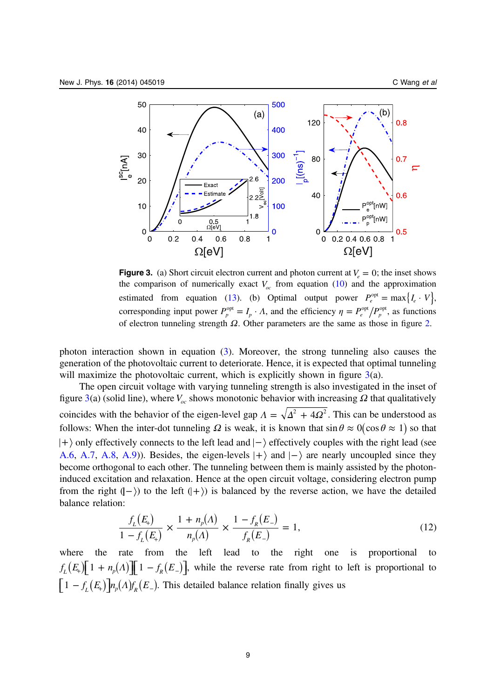<span id="page-9-0"></span>

**Figure 3.** (a) Short circuit electron current and photon current at  $V_e = 0$ ; the inset shows the comparison of numerically exact  $V_{oc}$  from equation [\(10](#page-6-0)) and the approximation estimated from equation (13). (b) Optimal output power  $P_e^{\text{opt}} = \max\{I_e \cdot V\}$ , corresponding input power  $P_p^{\text{opt}} = I_p \cdot \Lambda$ , and the efficiency  $\eta = P_e^{\text{opt}}/P_p^{\text{opt}}$ , as functions of electron tunneling strength *Ω*. Other parameters are the same as those in figure [2](#page-8-0).

photon interaction shown in equation [\(3](#page-4-0)). Moreover, the strong tunneling also causes the generation of the photovoltaic current to deteriorate. Hence, it is expected that optimal tunneling will maximize the photovoltaic current, which is explicitly shown in figure  $3(a)$ .

The open circuit voltage with varying tunneling strength is also investigated in the inset of figure 3(a) (solid line), where  $V_{oc}$  shows monotonic behavior with increasing  $\Omega$  that qualitatively coincides with the behavior of the eigen-level gap  $\Lambda = \sqrt{\Delta^2 + 4Q^2}$ . This can be understood as follows: When the inter-dot tunneling  $\Omega$  is weak, it is known that  $\sin \theta \approx 0(\cos \theta \approx 1)$  so that  $|+\rangle$  only effectively connects to the left lead and  $|-\rangle$  effectively couples with the right lead (see [A.6](#page-13-0), [A.7,](#page-13-0) [A.8,](#page-13-0) [A.9\)](#page-13-0)). Besides, the eigen-levels  $|+\rangle$  and  $|-\rangle$  are nearly uncoupled since they become orthogonal to each other. The tunneling between them is mainly assisted by the photoninduced excitation and relaxation. Hence at the open circuit voltage, considering electron pump from the right  $($ - $)$  to the left  $($ + $)$  is balanced by the reverse action, we have the detailed balance relation:

$$
\frac{f_L(E_+)}{1 - f_L(E_+)} \times \frac{1 + n_p(A)}{n_p(A)} \times \frac{1 - f_R(E_-)}{f_R(E_-)} = 1,
$$
\n(12)

where the rate from the left lead to the right one is proportional to  $f_L(E_+) \left[1 + n_p(A)\right] \left[1 - f_R(E_-)\right]$ , while the reverse rate from right to left is proportional to  $\left[1 - f_L(E_+) \right] n_p(A) f_R(E_-)$ . This detailed balance relation finally gives us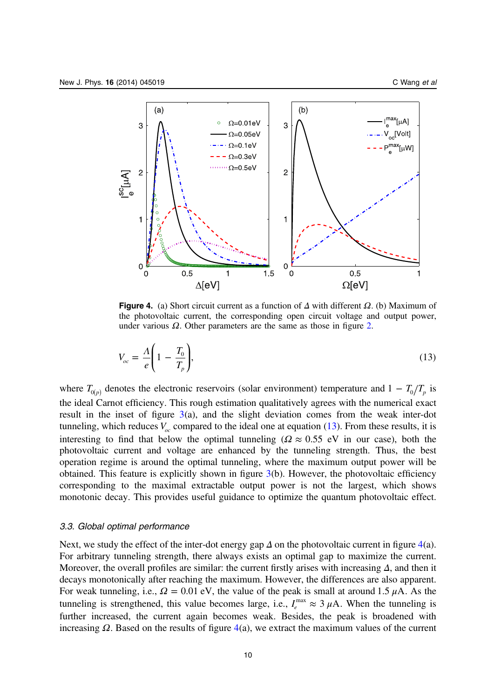<span id="page-10-0"></span>

Figure 4. (a) Short circuit current as a function of *Δ* with different *Ω*. (b) Maximum of the photovoltaic current, the corresponding open circuit voltage and output power, under various *Ω*. Other parameters are the same as those in figure [2.](#page-8-0)

$$
V_{oc} = \frac{\Lambda}{e} \left( 1 - \frac{T_0}{T_p} \right),\tag{13}
$$

where  $T_{0(p)}$  denotes the electronic reservoirs (solar environment) temperature and  $1 - T_0/T_p$  is the ideal Carnot efficiency. This rough estimation qualitatively agrees with the numerical exact result in the inset of figure  $3(a)$  $3(a)$ , and the slight deviation comes from the weak inter-dot tunneling, which reduces  $V_{oc}$  compared to the ideal one at equation ([13\)](#page-9-0). From these results, it is interesting to find that below the optimal tunneling ( $\Omega \approx 0.55$  eV in our case), both the photovoltaic current and voltage are enhanced by the tunneling strength. Thus, the best operation regime is around the optimal tunneling, where the maximum output power will be obtained. This feature is explicitly shown in figure [3](#page-9-0)(b). However, the photovoltaic efficiency corresponding to the maximal extractable output power is not the largest, which shows monotonic decay. This provides useful guidance to optimize the quantum photovoltaic effect.

#### 3.3. Global optimal performance

Next, we study the effect of the inter-dot energy gap  $\Delta$  on the photovoltaic current in figure 4(a). For arbitrary tunneling strength, there always exists an optimal gap to maximize the current. Moreover, the overall profiles are similar: the current firstly arises with increasing *Δ*, and then it decays monotonically after reaching the maximum. However, the differences are also apparent. For weak tunneling, i.e.,  $\Omega = 0.01$  eV, the value of the peak is small at around 1.5  $\mu$ A. As the tunneling is strengthened, this value becomes large, i.e.,  $I_{\alpha}^{\max} \approx 3 \mu A$ . When the tunneling is further increased, the current again becomes weak. Besides, the peak is broadened with increasing  $\Omega$ . Based on the results of figure  $4(a)$ , we extract the maximum values of the current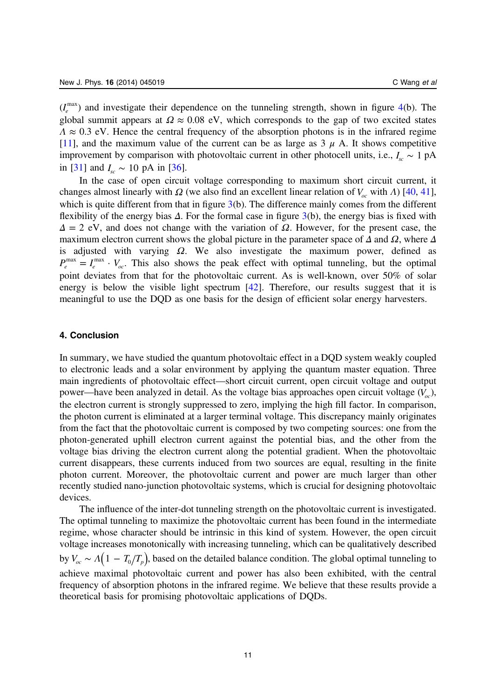$(I_e^{\text{max}})$  and investigate their dependence on the tunneling strength, shown in figure [4](#page-10-0)(b). The global summit appears at  $\Omega \approx 0.08$  eV, which corresponds to the gap of two excited states  $\Lambda \approx 0.3$  eV. Hence the central frequency of the absorption photons is in the infrared regime [[11\]](#page-15-0), and the maximum value of the current can be as large as  $3 \mu$  A. It shows competitive improvement by comparison with photovoltaic current in other photocell units, i.e.,  $I_{\rm sc} \sim 1$  pA in [[31\]](#page-16-0) and  $I_{\rm sc} \sim 10$  pA in [[36\]](#page-16-0).

In the case of open circuit voltage corresponding to maximum short circuit current, it changes almost linearly with *Ω* (we also find an excellent linear relation of  $V_{oc}$  with *Λ*) [\[40](#page-16-0), [41](#page-16-0)], which is quite different from that in figure [3\(](#page-9-0)b). The difference mainly comes from the different flexibility of the energy bias *Δ*. For the formal case in figure [3](#page-9-0)(b), the energy bias is fixed with  $Δ = 2$  eV, and does not change with the variation of  $Ω$ . However, for the present case, the maximum electron current shows the global picture in the parameter space of *Δ* and *Ω*, where *Δ* is adjusted with varying *Ω*. We also investigate the maximum power, defined as  $P_e^{\text{max}} = I_e^{\text{max}} \cdot V_{oc}$ . This also shows the peak effect with optimal tunneling, but the optimal point deviates from that for the photovoltaic current. As is well-known, over 50% of solar energy is below the visible light spectrum [[42\]](#page-16-0). Therefore, our results suggest that it is meaningful to use the DQD as one basis for the design of efficient solar energy harvesters.

## 4. Conclusion

In summary, we have studied the quantum photovoltaic effect in a DQD system weakly coupled to electronic leads and a solar environment by applying the quantum master equation. Three main ingredients of photovoltaic effect—short circuit current, open circuit voltage and output power—have been analyzed in detail. As the voltage bias approaches open circuit voltage  $(V_{oc})$ , the electron current is strongly suppressed to zero, implying the high fill factor. In comparison, the photon current is eliminated at a larger terminal voltage. This discrepancy mainly originates from the fact that the photovoltaic current is composed by two competing sources: one from the photon-generated uphill electron current against the potential bias, and the other from the voltage bias driving the electron current along the potential gradient. When the photovoltaic current disappears, these currents induced from two sources are equal, resulting in the finite photon current. Moreover, the photovoltaic current and power are much larger than other recently studied nano-junction photovoltaic systems, which is crucial for designing photovoltaic devices.

The influence of the inter-dot tunneling strength on the photovoltaic current is investigated. The optimal tunneling to maximize the photovoltaic current has been found in the intermediate regime, whose character should be intrinsic in this kind of system. However, the open circuit voltage increases monotonically with increasing tunneling, which can be qualitatively described by  $V_{oc} \sim \Lambda(1 - T_0/T_p)$ , based on the detailed balance condition. The global optimal tunneling to achieve maximal photovoltaic current and power has also been exhibited, with the central frequency of absorption photons in the infrared regime. We believe that these results provide a theoretical basis for promising photovoltaic applications of DQDs.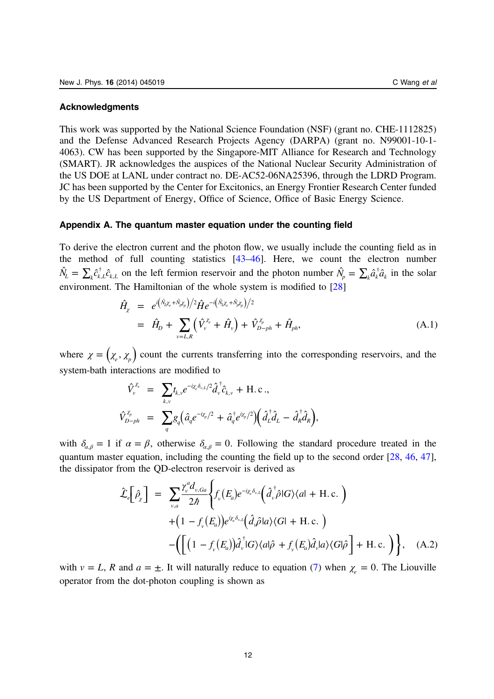#### <span id="page-12-0"></span>Acknowledgments

This work was supported by the National Science Foundation (NSF) (grant no. CHE-1112825) and the Defense Advanced Research Projects Agency (DARPA) (grant no. N99001-10-1- 4063). CW has been supported by the Singapore-MIT Alliance for Research and Technology (SMART). JR acknowledges the auspices of the National Nuclear Security Administration of the US DOE at LANL under contract no. DE-AC52-06NA25396, through the LDRD Program. JC has been supported by the Center for Excitonics, an Energy Frontier Research Center funded by the US Department of Energy, Office of Science, Office of Basic Energy Science.

## Appendix A. The quantum master equation under the counting field

To derive the electron current and the photon flow, we usually include the counting field as in the method of full counting statistics [\[43](#page-16-0)–[46\]](#page-16-0). Here, we count the electron number  $\hat{N}_L = \sum_k \hat{c}_{k,L}^\dagger \hat{c}_{k,L}$  on the left fermion reservoir and the photon number  $\hat{N}_p = \sum_k \hat{a}_k^\dagger \hat{a}_k$  in the solar environment. The Hamiltonian of the whole system is modified to [\[28](#page-16-0)]

$$
\hat{H}_{\chi} = e^{i(\hat{N}_{t} \chi_{e} + \hat{N}_{p} \chi_{p})/2} \hat{H} e^{-i(\hat{N}_{t} \chi_{e} + \hat{N}_{p} \chi_{p})/2} \n= \hat{H}_{D} + \sum_{v=L,R} (\hat{V}_{v}^{\chi_{e}} + \hat{H}_{v}) + \hat{V}_{D-ph}^{\chi_{p}} + \hat{H}_{ph},
$$
\n(A.1)

where  $\chi = (\chi_e, \chi_p)$  count the currents transferring into the corresponding reservoirs, and the system-bath interactions are modified to

$$
\begin{array}{rcl} \hat{V}^{x_e}_{v} & = & \displaystyle{\sum_{k,v}} t_{k,v} e^{-i \chi_e \delta_{v,L}/2} \hat{d}^{\dag}_{v} \hat{c}_{k,v} + {\rm H.c.} , \\ \hat{V}^{x_p}_{D-ph} & = & \displaystyle{\sum_{q}} g_{q} \big( \hat{a}_{q} e^{-i \chi_p/2} + \hat{a}^{\dag}_{q} e^{i \chi_p/2} \big) \bigg( \hat{d}^{\dag}_{L} \hat{d}_{L} - \hat{d}^{\dag}_{R} \hat{d}_{R} \bigg), \end{array}
$$

with  $\delta_{\alpha,\beta} = 1$  if  $\alpha = \beta$ , otherwise  $\delta_{\alpha,\beta} = 0$ . Following the standard procedure treated in the quantum master equation, including the counting the field up to the second order [[28,](#page-16-0) [46,](#page-16-0) [47](#page-16-0)], the dissipator from the QD-electron reservoir is derived as

$$
\hat{\mathcal{L}}_{e}\left[\hat{\rho}_{\chi}\right] = \sum_{v,a} \frac{\gamma_{v}^{a} d_{v,Ga}}{2\hbar} \Biggl\{ f_{v}\left(E_{a}\right) e^{-i\chi_{e}\delta_{v,L}} \left(\hat{d}_{v}^{\dagger} \hat{\rho} |G\rangle \langle a| + \text{H.c.}\right) \Biggr\} + \left(1 - f_{v}\left(E_{a}\right)\right) e^{i\chi_{e}\delta_{v,L}} \left(\hat{d}_{v} \hat{\rho} |a\rangle \langle G| + \text{H.c.}\right) \Biggr\} - \left(\Biggl[ \left(1 - f_{v}\left(E_{a}\right)\right) \hat{d}_{v}^{\dagger} |G\rangle \langle a| \hat{\rho} + f_{v}\left(E_{a}\right) \hat{d}_{v} |a\rangle \langle G| \hat{\rho}\Biggr] + \text{H.c.}\Biggr)\Biggr\}, \quad \text{(A.2)}
$$

with  $v = L$ , R and  $a = \pm$ . It will naturally reduce to equation ([7\)](#page-5-0) when  $\chi = 0$ . The Liouville operator from the dot-photon coupling is shown as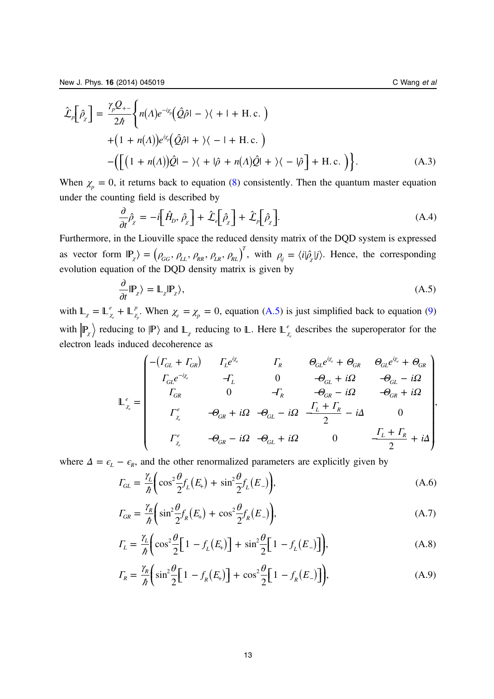<span id="page-13-0"></span>New J. Phys. **16** (2014) 045019 C Wang et al. **C** Wang et al.

$$
\hat{\mathcal{L}}_p\left[\hat{\rho}_\chi\right] = \frac{\gamma_p \mathcal{Q}_{+-}}{2\hbar} \Biggl\{ n(\Lambda) e^{-i\chi_p} \Bigl( \hat{\mathcal{Q}} \hat{\rho} \vert - \rangle \langle + \vert + \text{H.c.} \Bigr) + (1 + n(\Lambda)) e^{i\chi_p} \Bigl( \hat{\mathcal{Q}} \hat{\rho} \vert + \rangle \langle - \vert + \text{H.c.} \Bigr) - \Bigl( \Bigl[ (1 + n(\Lambda)) \hat{\mathcal{Q}} \vert - \rangle \langle + \vert \hat{\rho} + n(\Lambda) \hat{\mathcal{Q}} \vert + \rangle \langle - \vert \hat{\rho} \Bigr] + \text{H.c.} \Bigr) \Biggr\}.
$$
\n(A.3)

When  $\chi_p = 0$ , it returns back to equation ([8\)](#page-5-0) consistently. Then the quantum master equation under the counting field is described by

$$
\frac{\partial}{\partial t}\hat{\rho}_{\chi} = -i\left[\hat{H}_{D}, \hat{\rho}_{\chi}\right] + \hat{\mathcal{L}}_{e}\left[\hat{\rho}_{\chi}\right] + \hat{\mathcal{L}}_{p}\left[\hat{\rho}_{\chi}\right].
$$
\n(A.4)

Furthermore, in the Liouville space the reduced density matrix of the DQD system is expressed as vector form  $\mathbb{P}_{\chi}$  =  $(\rho_{GG}, \rho_{LL}, \rho_{RR}, \rho_{LR}, \rho_{RL})^T$ , with  $\rho_{ij} = \langle i | \hat{\rho}_{\chi} | j \rangle$ . Hence, the corresponding evolution equation of the DQD density matrix is given by

$$
\frac{\partial}{\partial t}|\mathbb{P}_{\chi}\rangle = \mathbb{L}_{\chi}|\mathbb{P}_{\chi}\rangle, \tag{A.5}
$$

with  $\mathbb{L}_{\chi} = \mathbb{L}_{\chi_e}^e + \mathbb{L}_{\chi_p}^p$ . When  $\chi_e = \chi_p = 0$ , equation (A.5) is just simplified back to equation [\(9](#page-6-0)) with  $\ket{P_\chi}$  reducing to  $\ket{P}$  and  $\ket{L_\chi}$  reducing to  $\Box$ . Here  $\Box^e_\chi$ *e* describes the superoperator for the electron leads induced decoherence as

$$
\mathbb{L}_{\chi_{e}}^{e} = \begin{pmatrix}\n-(\Gamma_{GL} + \Gamma_{GR}) & \Gamma_{L}e^{i\chi_{e}} & \Gamma_{R} & \Theta_{GL}e^{i\chi_{e}} + \Theta_{GR} & \Theta_{GL}e^{i\chi_{e}} + \Theta_{GR} \\
\Gamma_{GL}e^{-i\chi_{e}} & -\Gamma_{L} & 0 & -\Theta_{GL} + i\Omega & -\Theta_{GL} - i\Omega \\
\Gamma_{GR} & 0 & -\Gamma_{R} & -\Theta_{GR} + i\Omega & -\Theta_{GR} + i\Omega \\
\Gamma_{\chi_{e}}^{e} & -\Theta_{GR} + i\Omega & -\Theta_{GL} - i\Omega & \frac{\Gamma_{L} + \Gamma_{R}}{2} - i\Delta & 0 \\
\Gamma_{\chi_{e}}^{e} & -\Theta_{GR} - i\Omega & -\Theta_{GL} + i\Omega & 0 & \frac{\Gamma_{L} + \Gamma_{R}}{2} + i\Delta\n\end{pmatrix},
$$

where  $\Delta = \epsilon_L - \epsilon_R$ , and the other renormalized parameters are explicitly given by

$$
\varGamma_{GL} = \frac{\gamma_L}{\hbar} \left( \cos^2 \frac{\theta}{2} f_L(E_+) + \sin^2 \frac{\theta}{2} f_L(E_-) \right),\tag{A.6}
$$

$$
I_{GR} = \frac{\gamma_R}{\hbar} \left( \sin^2 \frac{\theta}{2} f_R(E_+) + \cos^2 \frac{\theta}{2} f_R(E_-) \right), \tag{A.7}
$$

$$
\Gamma_L = \frac{\gamma_L}{\hbar} \left( \cos^2 \frac{\theta}{2} \left[ 1 - f_L(E_+) \right] + \sin^2 \frac{\theta}{2} \left[ 1 - f_L(E_-) \right] \right),\tag{A.8}
$$

$$
\varGamma_R = \frac{\gamma_R}{\hbar} \bigg( \sin^2 \frac{\theta}{2} \bigg[ 1 - f_R(E_+) \bigg] + \cos^2 \frac{\theta}{2} \bigg[ 1 - f_R(E_-) \bigg] \bigg), \tag{A.9}
$$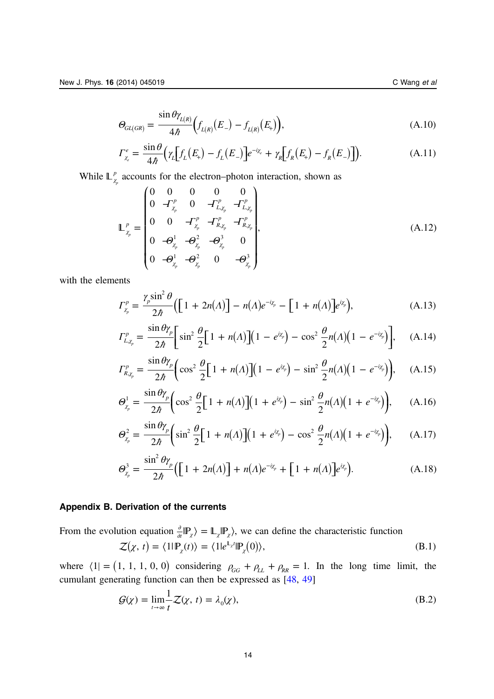<span id="page-14-0"></span>*Θ*

$$
\Gamma_{\chi_e}^e = \frac{\sin \theta}{4\hbar} \Big( \gamma_L \Big[ f_L(E_+) - f_L(E_-) \Big] e^{-i\chi_e} + \gamma_R \Big[ f_R(E_+) - f_R(E_-) \Big] \Big). \tag{A.11}
$$

While  $\mathbb{L}^p_\chi$  $\sum_{p}$  accounts for the electron–photon interaction, shown as

$$
\mathbb{L}_{\chi_p}^p = \begin{pmatrix} 0 & 0 & 0 & 0 \\ 0 & -\Gamma_{p}^p & 0 & -\Gamma_{L,\chi_p}^p & -\Gamma_{L,\chi_p}^p \\ 0 & 0 & -\Gamma_{\chi_p}^p & -\Gamma_{R,\chi_p}^p & -\Gamma_{R,\chi_p}^p \\ 0 & -\Theta_{\chi_p}^1 & -\Theta_{\chi_p}^2 & -\Theta_{\chi_p}^3 & 0 \\ 0 & -\Theta_{\chi_p}^1 & -\Theta_{\chi_p}^2 & 0 & -\Theta_{\chi_p}^3 \end{pmatrix},
$$
(A.12)

with the elements

$$
\Gamma_{\chi_p}^p = \frac{\gamma_p \sin^2 \theta}{2\hbar} \Big( \Big[ 1 + 2n(\Lambda) \Big] - n(\Lambda) e^{-i\chi_p} - \Big[ 1 + n(\Lambda) \Big] e^{i\chi_p} \Big), \tag{A.13}
$$

$$
\Gamma_{L,\chi_p}^p = \frac{\sin \theta \gamma_p}{2\hbar} \bigg[ \sin^2 \frac{\theta}{2} \bigg[ 1 + n(\Lambda) \bigg] \bigg( 1 - e^{i\chi_p} \bigg) - \cos^2 \frac{\theta}{2} n(\Lambda) \bigg( 1 - e^{-i\chi_p} \bigg) \bigg], \quad \text{(A.14)}
$$

$$
\Gamma_{R,\chi_p}^p = \frac{\sin \theta \gamma_p}{2\hbar} \bigg( \cos^2 \frac{\theta}{2} \bigg[ 1 + n(A) \bigg] \bigg( 1 - e^{i\chi_p} \bigg) - \sin^2 \frac{\theta}{2} n(A) \bigg( 1 - e^{-i\chi_p} \bigg) \bigg), \quad \text{(A.15)}
$$

$$
\Theta_{\chi_p}^1 = \frac{\sin \theta \gamma_p}{2\hbar} \bigg( \cos^2 \frac{\theta}{2} \bigg[ 1 + n(\Lambda) \bigg] \big( 1 + e^{i\chi_p} \bigg) - \sin^2 \frac{\theta}{2} n(\Lambda) \big( 1 + e^{-i\chi_p} \bigg) \bigg), \qquad (A.16)
$$

$$
\Theta_{\chi_p}^2 = \frac{\sin \theta \gamma_p}{2\hbar} \bigg( \sin^2 \frac{\theta}{2} \bigg[ 1 + n(\Lambda) \bigg] \bigg( 1 + e^{i\chi_p} \bigg) - \cos^2 \frac{\theta}{2} n(\Lambda) \bigg( 1 + e^{-i\chi_p} \bigg) \bigg), \qquad (A.17)
$$

$$
\Theta_{\chi_p}^3 = \frac{\sin^2 \theta \gamma_p}{2\hbar} \Big( \Big[ 1 + 2n(\Lambda) \Big] + n(\Lambda) e^{-i\chi_p} + \Big[ 1 + n(\Lambda) \Big] e^{i\chi_p} \Big). \tag{A.18}
$$

## Appendix B. Derivation of the currents

From the evolution equation 
$$
\frac{\partial}{\partial t}|\mathbb{P}_{\chi}\rangle = \mathbb{L}_{\chi}|\mathbb{P}_{\chi}\rangle
$$
, we can define the characteristic function  

$$
\mathcal{Z}(\chi, t) = \langle 1|\mathbb{P}_{\chi}(t)\rangle = \langle 1|e^{\mathbb{L}_{\chi}t}|\mathbb{P}_{\chi}(0)\rangle,
$$
(B.1)

where  $\langle 1 | = (1, 1, 1, 0, 0)$  considering  $\rho_{GG} + \rho_{LL} + \rho_{RR} = 1$ . In the long time limit, the cumulant generating function can then be expressed as [[48,](#page-16-0) [49](#page-16-0)]

$$
\mathcal{G}(\chi) = \lim_{t \to \infty} \frac{1}{t} \mathcal{Z}(\chi, t) = \lambda_0(\chi),
$$
\n(B.2)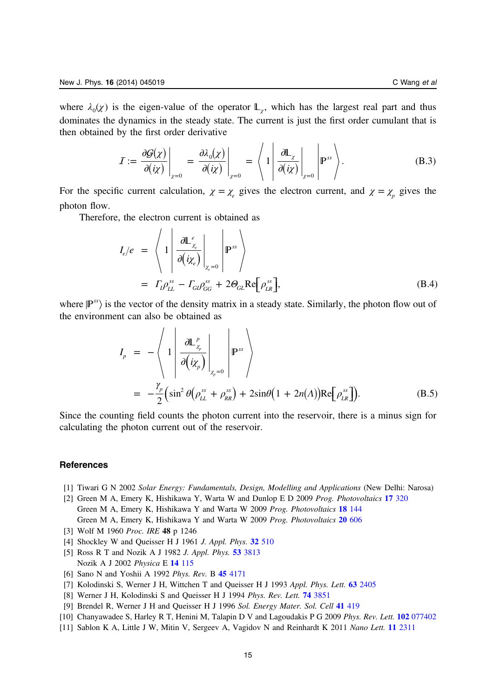<span id="page-15-0"></span>where  $\lambda_0(\chi)$  is the eigen-value of the operator  $\mathbb{L}_{\gamma}$ , which has the largest real part and thus dominates the dynamics in the steady state. The current is just the first order cumulant that is then obtained by the first order derivative

$$
I := \frac{\partial \mathcal{G}(\chi)}{\partial(i\chi)}\Big|_{\chi=0} = \frac{\partial \lambda_0(\chi)}{\partial(i\chi)}\Big|_{\chi=0} = \left\langle 1 \left| \frac{\partial \mathbb{L}_{\chi}}{\partial(i\chi)}\right|_{\chi=0} \right| \mathbb{P}^{ss} \right\rangle. \tag{B.3}
$$

 $\mathbf{r} = \mathbf{r}$ 

For the specific current calculation,  $\chi = \chi_e$  gives the electron current, and  $\chi = \chi_p$  gives the photon flow.

Therefore, the electron current is obtained as

$$
I_e/e = \left\langle 1 \left| \frac{\partial \mathbb{L}_{\chi_e}^e}{\partial (i\chi_e)} \right|_{\chi_e=0} \right| \mathbb{P}^{ss} \right\rangle
$$
  
=  $\Gamma_i \rho_{LL}^{ss} - \Gamma_{GI} \rho_{GG}^{ss} + 2\Theta_{GL} \text{Re} \left[ \rho_{LR}^{ss} \right],$  (B.4)

where  $\mathbb{P}^{ss}$  is the vector of the density matrix in a steady state. Similarly, the photon flow out of the environment can also be obtained as

$$
I_p = -\left\langle 1 \left| \frac{\partial \mathbb{L}_{\chi_p}^p}{\partial (i\chi_p)} \right|_{\chi_p=0} \left| \mathbb{P}^{ss} \right\rangle \right\}
$$
  
= 
$$
-\frac{\gamma_p}{2} \left( \sin^2 \theta \left( \rho_{LL}^{ss} + \rho_{RR}^{ss} \right) + 2\sin \theta \left( 1 + 2n(\Lambda) \right) \text{Re} \left[ \rho_{LR}^{ss} \right] \right).
$$
 (B.5)

Since the counting field counts the photon current into the reservoir, there is a minus sign for calculating the photon current out of the reservoir.

#### **References**

- [1] Tiwari G N 2002 Solar Energy: Fundamentals, Design, Modelling and Applications (New Delhi: Narosa)
- [2] Green M A, Emery K, Hishikawa Y, Warta W and Dunlop E D 2009 Prog. Photovoltaics 17 [320](http://dx.doi.org/10.1002/pip.v17:5) Green M A, Emery K, Hishikawa Y and Warta W 2009 Prog. Photovoltaics 18 [144](http://dx.doi.org/10.1002/pip.v18:2) Green M A, Emery K, Hishikawa Y and Warta W 2009 Prog. Photovoltaics 20 [606](http://dx.doi.org/10.1002/pip.2267)
- [3] Wolf M 1960 Proc. IRE 48 p 1246
- [4] Shockley W and Queisser H J 1961 J. Appl. Phys. **32** [510](http://dx.doi.org/10.1063/1.1736034)
- [5] Ross R T and Nozik A J 1982 *J. Appl. Phys.* **53** [3813](http://dx.doi.org/10.1063/1.331124) Nozik A J 2002 Physica E 14 [115](http://dx.doi.org/10.1016/S1386-9477(02)00374-0)
- [6] Sano N and Yoshii A 1992 Phys. Rev. B 45 [4171](http://dx.doi.org/10.1103/PhysRevB.45.4171)
- [7] Kolodinski S, Werner J H, Wittchen T and Queisser H J 1993 Appl. Phys. Lett. 63 [2405](http://dx.doi.org/10.1063/1.110489)
- [8] Werner J H, Kolodinski S and Queisser H J 1994 Phys. Rev. Lett. **74** [3851](http://dx.doi.org/10.1103/PhysRevLett.72.3851)
- [9] Brendel R, Werner J H and Queisser H J 1996 Sol. Energy Mater. Sol. Cell 41 [419](http://dx.doi.org/10.1016/0927-0248(95)00125-5)
- [10] Chanyawadee S, Harley R T, Henini M, Talapin D V and Lagoudakis P G 2009 Phys. Rev. Lett. 102 [077402](http://dx.doi.org/10.1103/PhysRevLett.102.077402)
- [11] Sablon K A, Little J W, Mitin V, Sergeev A, Vagidov N and Reinhardt K 2011 Nano Lett. 11 [2311](http://dx.doi.org/10.1021/nl200543v)